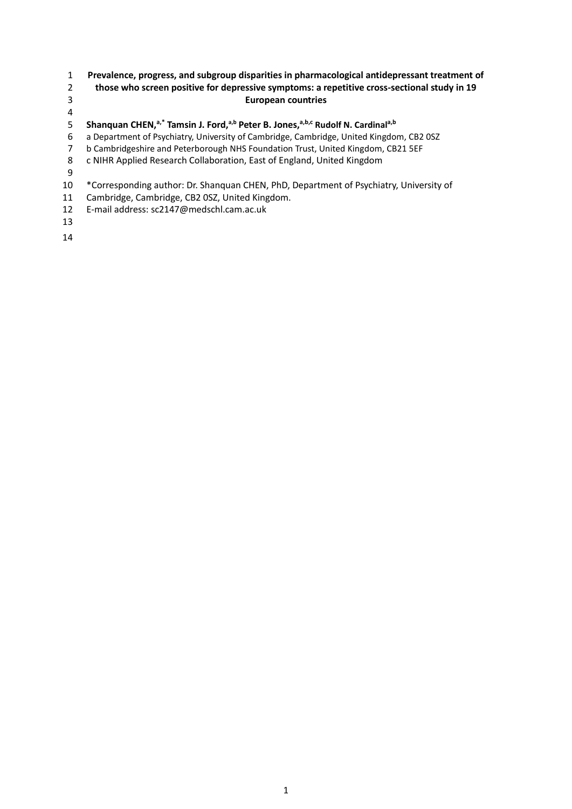## **Prevalence, progress, and subgroup disparities in pharmacological antidepressant treatment of those who screen positive for depressive symptoms: a repetitive cross-sectional study in 19**

# **European countries**

5 Shanquan CHEN,<sup>a,\*</sup> Tamsin J. Ford,<sup>a,b</sup> Peter B. Jones,<sup>a,b,c</sup> Rudolf N. Cardinal<sup>a,b</sup>

a Department of Psychiatry, University of Cambridge, Cambridge, United Kingdom, CB2 0SZ

b Cambridgeshire and Peterborough NHS Foundation Trust, United Kingdom, CB21 5EF

- c NIHR Applied Research Collaboration, East of England, United Kingdom
- 

\*Corresponding author: Dr. Shanquan CHEN, PhD, Department of Psychiatry, University of

- Cambridge, Cambridge, CB2 0SZ, United Kingdom.
- E-mail address: sc2147@medschl.cam.ac.uk
-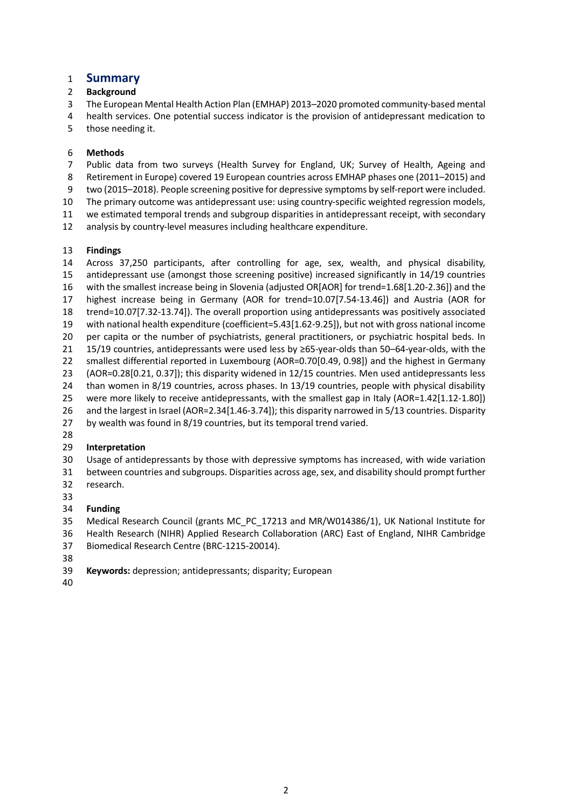# **Summary**

## **Background**

The European Mental Health Action Plan (EMHAP) 2013–2020 promoted community-based mental

health services. One potential success indicator is the provision of antidepressant medication to

those needing it.

## **Methods**

Public data from two surveys (Health Survey for England, UK; Survey of Health, Ageing and

Retirement in Europe) covered 19 European countries across EMHAP phases one (2011–2015) and

two (2015–2018). People screening positive for depressive symptoms by self-report were included.

The primary outcome was antidepressant use: using country-specific weighted regression models,

we estimated temporal trends and subgroup disparities in antidepressant receipt, with secondary

analysis by country-level measures including healthcare expenditure.

## **Findings**

 Across 37,250 participants, after controlling for age, sex, wealth, and physical disability, antidepressant use (amongst those screening positive) increased significantly in 14/19 countries with the smallest increase being in Slovenia (adjusted OR[AOR] for trend=1.68[1.20-2.36]) and the highest increase being in Germany (AOR for trend=10.07[7.54-13.46]) and Austria (AOR for trend=10.07[7.32-13.74]). The overall proportion using antidepressants was positively associated with national health expenditure (coefficient=5.43[1.62-9.25]), but not with gross national income per capita or the number of psychiatrists, general practitioners, or psychiatric hospital beds. In 15/19 countries, antidepressants were used less by ≥65-year-olds than 50–64-year-olds, with the smallest differential reported in Luxembourg (AOR=0.70[0.49, 0.98]) and the highest in Germany (AOR=0.28[0.21, 0.37]); this disparity widened in 12/15 countries. Men used antidepressants less than women in 8/19 countries, across phases. In 13/19 countries, people with physical disability were more likely to receive antidepressants, with the smallest gap in Italy (AOR=1.42[1.12-1.80]) and the largest in Israel (AOR=2.34[1.46-3.74]); this disparity narrowed in 5/13 countries. Disparity by wealth was found in 8/19 countries, but its temporal trend varied.

# **Interpretation**

 Usage of antidepressants by those with depressive symptoms has increased, with wide variation between countries and subgroups. Disparities across age, sex, and disability should prompt further

- research.
- 

# **Funding**

Medical Research Council (grants MC\_PC\_17213 and MR/W014386/1), UK National Institute for

 Health Research (NIHR) Applied Research Collaboration (ARC) East of England, NIHR Cambridge Biomedical Research Centre (BRC-1215-20014).

**Keywords:** depression; antidepressants; disparity; European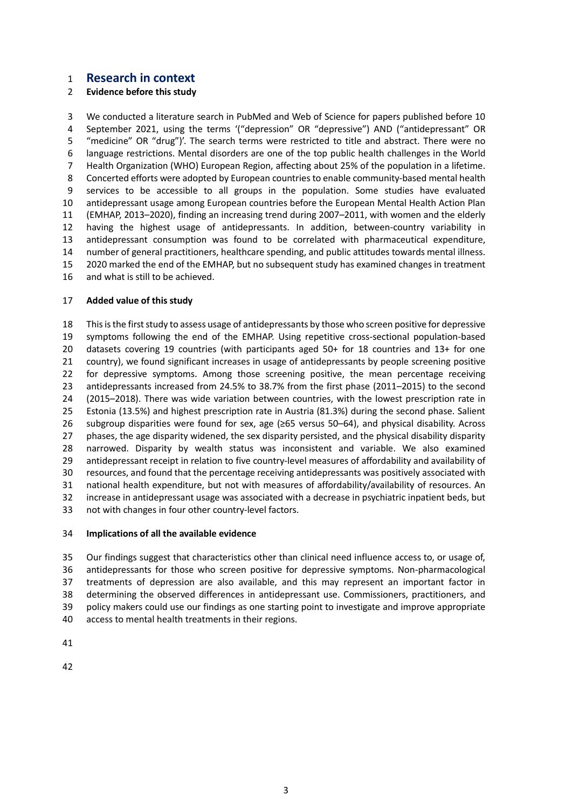### **Research in context**

### **Evidence before this study**

 We conducted a literature search in PubMed and Web of Science for papers published before 10 September 2021, using the terms '("depression" OR "depressive") AND ("antidepressant" OR "medicine" OR "drug")'. The search terms were restricted to title and abstract. There were no language restrictions. Mental disorders are one of the top public health challenges in the World Health Organization (WHO) European Region, affecting about 25% of the population in a lifetime. Concerted efforts were adopted by European countries to enable community-based mental health services to be accessible to all groups in the population. Some studies have evaluated antidepressant usage among European countries before the European Mental Health Action Plan (EMHAP, 2013–2020), finding an increasing trend during 2007–2011, with women and the elderly having the highest usage of antidepressants. In addition, between-country variability in antidepressant consumption was found to be correlated with pharmaceutical expenditure, number of general practitioners, healthcare spending, and public attitudes towards mental illness. 2020 marked the end of the EMHAP, but no subsequent study has examined changes in treatment and what is still to be achieved.

#### **Added value of this study**

 This is the first study to assess usage of antidepressants by those who screen positive for depressive symptoms following the end of the EMHAP. Using repetitive cross-sectional population-based datasets covering 19 countries (with participants aged 50+ for 18 countries and 13+ for one country), we found significant increases in usage of antidepressants by people screening positive for depressive symptoms. Among those screening positive, the mean percentage receiving antidepressants increased from 24.5% to 38.7% from the first phase (2011–2015) to the second (2015–2018). There was wide variation between countries, with the lowest prescription rate in Estonia (13.5%) and highest prescription rate in Austria (81.3%) during the second phase. Salient subgroup disparities were found for sex, age (≥65 versus 50–64), and physical disability. Across phases, the age disparity widened, the sex disparity persisted, and the physical disability disparity narrowed. Disparity by wealth status was inconsistent and variable. We also examined antidepressant receipt in relation to five country-level measures of affordability and availability of resources, and found that the percentage receiving antidepressants was positively associated with national health expenditure, but not with measures of affordability/availability of resources. An increase in antidepressant usage was associated with a decrease in psychiatric inpatient beds, but not with changes in four other country-level factors.

#### **Implications of all the available evidence**

 Our findings suggest that characteristics other than clinical need influence access to, or usage of, antidepressants for those who screen positive for depressive symptoms. Non-pharmacological treatments of depression are also available, and this may represent an important factor in determining the observed differences in antidepressant use. Commissioners, practitioners, and policy makers could use our findings as one starting point to investigate and improve appropriate access to mental health treatments in their regions.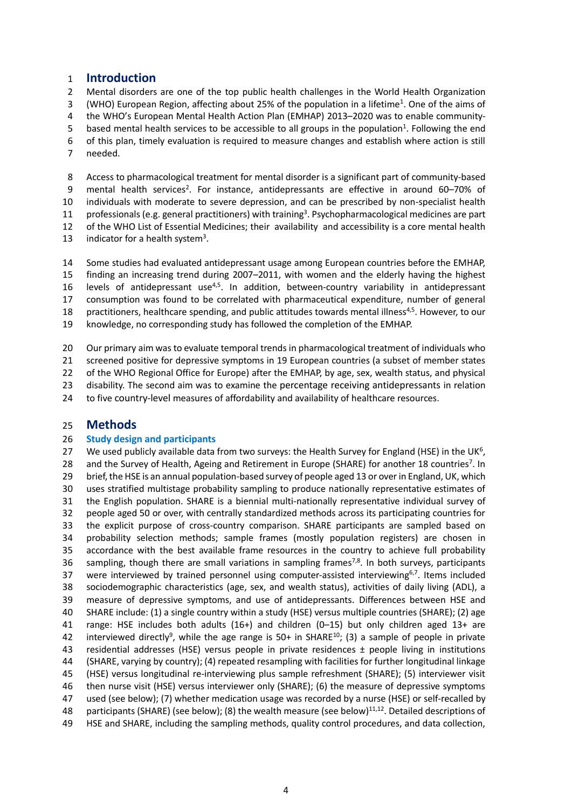## **Introduction**

 Mental disorders are one of the top public health challenges in the World Health Organization 3 (WHO) European Region, affecting about 25% of the population in a lifetime<sup>1</sup>. One of the aims of the WHO's European Mental Health Action Plan (EMHAP) 2013–2020 was to enable community-5 based mental health services to be accessible to all groups in the population<sup>1</sup>. Following the end of this plan, timely evaluation is required to measure changes and establish where action is still needed.

 Access to pharmacological treatment for mental disorder is a significant part of community-based 9 mental health services<sup>2</sup>. For instance, antidepressants are effective in around 60–70% of individuals with moderate to severe depression, and can be prescribed by non-specialist health 11 professionals (e.g. general practitioners) with training<sup>3</sup>. Psychopharmacological medicines are part of the WHO List of Essential Medicines; their availability and accessibility is a core mental health 13 indicator for a health system<sup>3</sup>.

 Some studies had evaluated antidepressant usage among European countries before the EMHAP, finding an increasing trend during 2007–2011, with women and the elderly having the highest 16 levels of antidepressant use<sup>4,5</sup>. In addition, between-country variability in antidepressant consumption was found to be correlated with pharmaceutical expenditure, number of general 18 practitioners, healthcare spending, and public attitudes towards mental illness<sup>4,5</sup>. However, to our knowledge, no corresponding study has followed the completion of the EMHAP.

 Our primary aim was to evaluate temporal trends in pharmacological treatment of individuals who screened positive for depressive symptoms in 19 European countries (a subset of member states 22 of the WHO Regional Office for Europe) after the EMHAP, by age, sex, wealth status, and physical disability. The second aim was to examine the percentage receiving antidepressants in relation to five country-level measures of affordability and availability of healthcare resources.

# **Methods**

### **Study design and participants**

27 We used publicly available data from two surveys: the Health Survey for England (HSE) in the UK<sup>6</sup>, 28 and the Survey of Health, Ageing and Retirement in Europe (SHARE) for another 18 countries<sup>7</sup>. In brief, the HSE is an annual population-based survey of people aged 13 or over in England, UK, which uses stratified multistage probability sampling to produce nationally representative estimates of the English population. SHARE is a biennial multi-nationally representative individual survey of people aged 50 or over, with centrally standardized methods across its participating countries for the explicit purpose of cross-country comparison. SHARE participants are sampled based on probability selection methods; sample frames (mostly population registers) are chosen in accordance with the best available frame resources in the country to achieve full probability 36 sampling, though there are small variations in sampling frames<sup>7,8</sup>. In both surveys, participants 37 were interviewed by trained personnel using computer-assisted interviewing<sup>6,7</sup>. Items included sociodemographic characteristics (age, sex, and wealth status), activities of daily living (ADL), a measure of depressive symptoms, and use of antidepressants. Differences between HSE and SHARE include: (1) a single country within a study (HSE) versus multiple countries (SHARE); (2) age range: HSE includes both adults (16+) and children (0–15) but only children aged 13+ are 42 interviewed directly<sup>9</sup>, while the age range is 50+ in SHARE<sup>10</sup>; (3) a sample of people in private residential addresses (HSE) versus people in private residences ± people living in institutions (SHARE, varying by country); (4) repeated resampling with facilities for further longitudinal linkage (HSE) versus longitudinal re-interviewing plus sample refreshment (SHARE); (5) interviewer visit then nurse visit (HSE) versus interviewer only (SHARE); (6) the measure of depressive symptoms used (see below); (7) whether medication usage was recorded by a nurse (HSE) or self-recalled by 48 participants (SHARE) (see below); (8) the wealth measure (see below)<sup>11,12</sup>. Detailed descriptions of HSE and SHARE, including the sampling methods, quality control procedures, and data collection,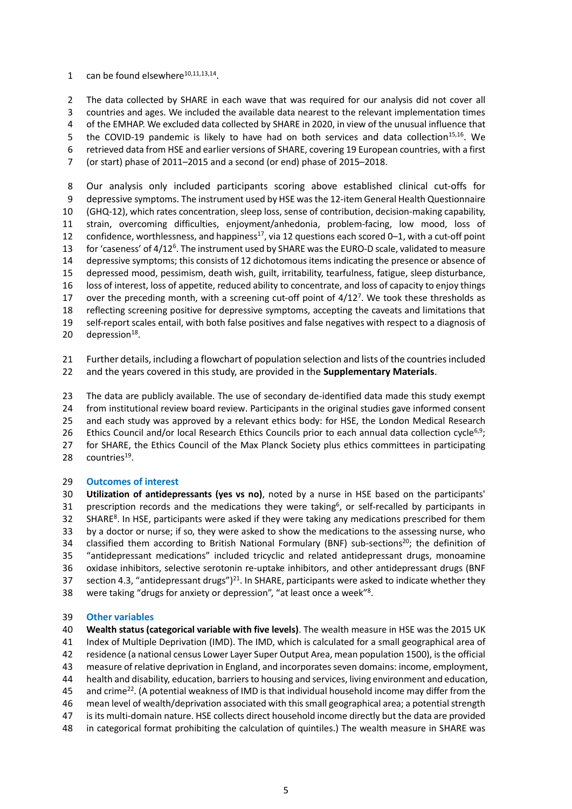1 can be found elsewhere $^{10,11,13,14}$ .

 The data collected by SHARE in each wave that was required for our analysis did not cover all countries and ages. We included the available data nearest to the relevant implementation times of the EMHAP. We excluded data collected by SHARE in 2020, in view of the unusual influence that 5 the COVID-19 pandemic is likely to have had on both services and data collection<sup>15,16</sup>. We retrieved data from HSE and earlier versions of SHARE, covering 19 European countries, with a first (or start) phase of 2011–2015 and a second (or end) phase of 2015–2018.

 Our analysis only included participants scoring above established clinical cut-offs for depressive symptoms. The instrument used by HSE was the 12-item General Health Questionnaire (GHQ-12), which rates concentration, sleep loss, sense of contribution, decision-making capability, strain, overcoming difficulties, enjoyment/anhedonia, problem-facing, low mood, loss of 12 confidence, worthlessness, and happiness<sup>17</sup>, via 12 questions each scored 0–1, with a cut-off point 13 for 'caseness' of 4/12<sup>6</sup>. The instrument used by SHARE was the EURO-D scale, validated to measure depressive symptoms; this consists of 12 dichotomous items indicating the presence or absence of depressed mood, pessimism, death wish, guilt, irritability, tearfulness, fatigue, sleep disturbance, loss of interest, loss of appetite, reduced ability to concentrate, and loss of capacity to enjoy things 17 over the preceding month, with a screening cut-off point of  $4/12<sup>7</sup>$ . We took these thresholds as reflecting screening positive for depressive symptoms, accepting the caveats and limitations that self-report scales entail, with both false positives and false negatives with respect to a diagnosis of 20 depression $^{18}$ .

 Further details, including a flowchart of population selection and lists of the countries included and the years covered in this study, are provided in the **Supplementary Materials**.

 The data are publicly available. The use of secondary de-identified data made this study exempt from institutional review board review. Participants in the original studies gave informed consent and each study was approved by a relevant ethics body: for HSE, the London Medical Research 26 Ethics Council and/or local Research Ethics Councils prior to each annual data collection cycle<sup>6,9</sup>; for SHARE, the Ethics Council of the Max Planck Society plus ethics committees in participating 28 countries<sup>19</sup>.

### **Outcomes of interest**

 **Utilization of antidepressants (yes vs no)**, noted by a nurse in HSE based on the participants' 31 prescription records and the medications they were taking<sup>6</sup>, or self-recalled by participants in SHARE<sup>8</sup>. In HSE, participants were asked if they were taking any medications prescribed for them by a doctor or nurse; if so, they were asked to show the medications to the assessing nurse, who 34 classified them according to British National Formulary (BNF) sub-sections<sup>20</sup>; the definition of "antidepressant medications" included tricyclic and related antidepressant drugs, monoamine oxidase inhibitors, selective serotonin re-uptake inhibitors, and other antidepressant drugs (BNF 37 section 4.3, "antidepressant drugs")<sup>21</sup>. In SHARE, participants were asked to indicate whether they 38 were taking "drugs for anxiety or depression", "at least once a week"<sup>8</sup>.

#### **Other variables**

 **Wealth status (categorical variable with five levels)**. The wealth measure in HSE was the 2015 UK Index of Multiple Deprivation (IMD). The IMD, which is calculated for a small geographical area of residence (a national census Lower Layer Super Output Area, mean population 1500), is the official measure of relative deprivation in England, and incorporates seven domains: income, employment, health and disability, education, barriers to housing and services, living environment and education, 45 and crime<sup>22</sup>. (A potential weakness of IMD is that individual household income may differ from the mean level of wealth/deprivation associated with this small geographical area; a potential strength is its multi-domain nature. HSE collects direct household income directly but the data are provided in categorical format prohibiting the calculation of quintiles.) The wealth measure in SHARE was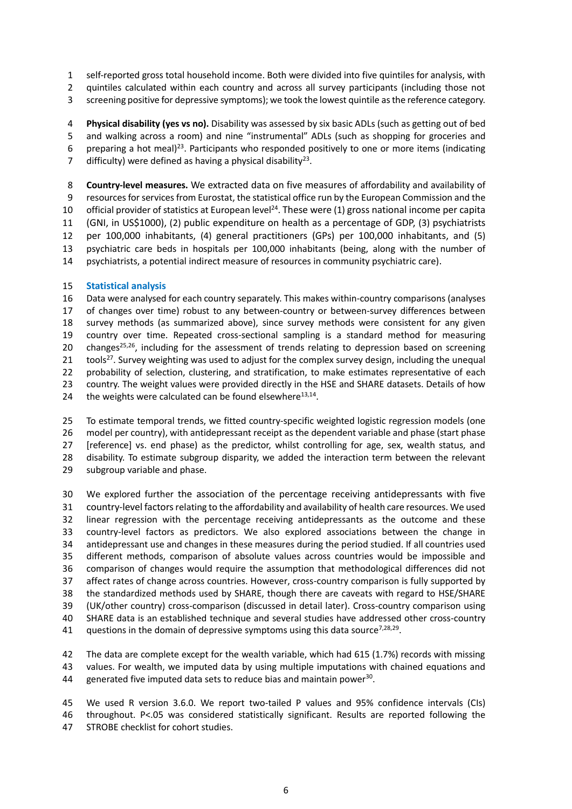self-reported gross total household income. Both were divided into five quintiles for analysis, with

- quintiles calculated within each country and across all survey participants (including those not
- screening positive for depressive symptoms); we took the lowest quintile as the reference category.

 **Physical disability (yes vs no).** Disability was assessed by six basic ADLs (such as getting out of bed and walking across a room) and nine "instrumental" ADLs (such as shopping for groceries and 6 preparing a hot meal)<sup>23</sup>. Participants who responded positively to one or more items (indicating

7 difficulty) were defined as having a physical disability<sup>23</sup>.

 **Country-level measures.** We extracted data on five measures of affordability and availability of resources for services from Eurostat, the statistical office run by the European Commission and the 10 official provider of statistics at European level<sup>24</sup>. These were (1) gross national income per capita (GNI, in US\$1000), (2) public expenditure on health as a percentage of GDP, (3) psychiatrists per 100,000 inhabitants, (4) general practitioners (GPs) per 100,000 inhabitants, and (5) psychiatric care beds in hospitals per 100,000 inhabitants (being, along with the number of psychiatrists, a potential indirect measure of resources in community psychiatric care).

### **Statistical analysis**

 Data were analysed for each country separately. This makes within-country comparisons (analyses of changes over time) robust to any between-country or between-survey differences between survey methods (as summarized above), since survey methods were consistent for any given country over time. Repeated cross-sectional sampling is a standard method for measuring 20 changes<sup>25,26</sup>, including for the assessment of trends relating to depression based on screening  $\pm$  tools<sup>27</sup>. Survey weighting was used to adjust for the complex survey design, including the unequal 22 probability of selection, clustering, and stratification, to make estimates representative of each country. The weight values were provided directly in the HSE and SHARE datasets. Details of how 24 the weights were calculated can be found elsewhere $^{13,14}$ .

 To estimate temporal trends, we fitted country-specific weighted logistic regression models (one model per country), with antidepressant receipt as the dependent variable and phase (start phase [reference] vs. end phase) as the predictor, whilst controlling for age, sex, wealth status, and disability. To estimate subgroup disparity, we added the interaction term between the relevant subgroup variable and phase.

 We explored further the association of the percentage receiving antidepressants with five country-level factors relating to the affordability and availability of health care resources. We used linear regression with the percentage receiving antidepressants as the outcome and these country-level factors as predictors. We also explored associations between the change in antidepressant use and changes in these measures during the period studied. If all countries used different methods, comparison of absolute values across countries would be impossible and comparison of changes would require the assumption that methodological differences did not affect rates of change across countries. However, cross-country comparison is fully supported by the standardized methods used by SHARE, though there are caveats with regard to HSE/SHARE (UK/other country) cross-comparison (discussed in detail later). Cross-country comparison using SHARE data is an established technique and several studies have addressed other cross-country 41 questions in the domain of depressive symptoms using this data source<sup>7,28,29</sup>.

 The data are complete except for the wealth variable, which had 615 (1.7%) records with missing values. For wealth, we imputed data by using multiple imputations with chained equations and 44 generated five imputed data sets to reduce bias and maintain power.

 We used R version 3.6.0. We report two-tailed P values and 95% confidence intervals (CIs) throughout. P<.05 was considered statistically significant. Results are reported following the STROBE checklist for cohort studies.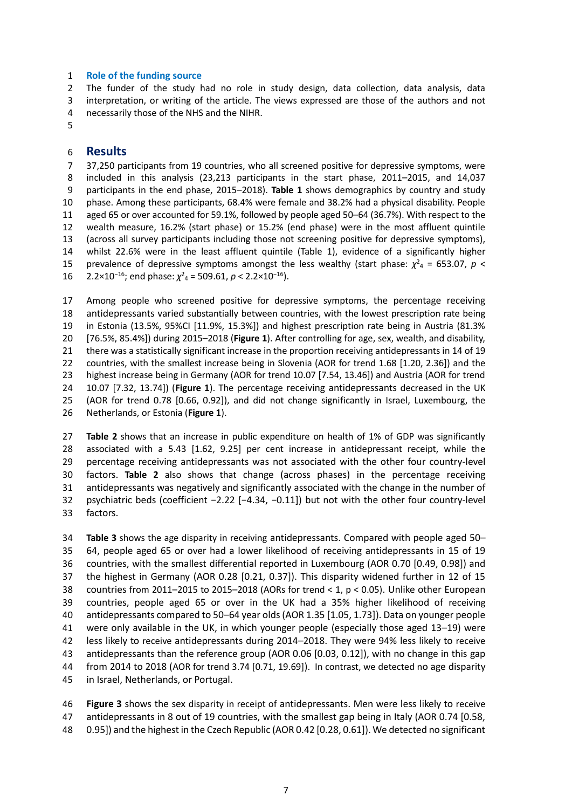#### **Role of the funding source**

 The funder of the study had no role in study design, data collection, data analysis, data interpretation, or writing of the article. The views expressed are those of the authors and not necessarily those of the NHS and the NIHR.

#### **Results**

 37,250 participants from 19 countries, who all screened positive for depressive symptoms, were included in this analysis (23,213 participants in the start phase, 2011–2015, and 14,037 participants in the end phase, 2015–2018). **Table 1** shows demographics by country and study phase. Among these participants, 68.4% were female and 38.2% had a physical disability. People aged 65 or over accounted for 59.1%, followed by people aged 50–64 (36.7%). With respect to the wealth measure, 16.2% (start phase) or 15.2% (end phase) were in the most affluent quintile (across all survey participants including those not screening positive for depressive symptoms), whilst 22.6% were in the least affluent quintile (Table 1), evidence of a significantly higher 15 prevalence of depressive symptoms amongst the less wealthy (start phase:  $\chi^2$ <sub>4</sub> = 653.07, *p* < 16 2.2×10<sup>-16</sup>; end phase:  $\chi^2$ <sub>4</sub> = 509.61, *p* < 2.2×10<sup>-16</sup>).

 Among people who screened positive for depressive symptoms, the percentage receiving antidepressants varied substantially between countries, with the lowest prescription rate being in Estonia (13.5%, 95%CI [11.9%, 15.3%]) and highest prescription rate being in Austria (81.3% [76.5%, 85.4%]) during 2015–2018 (**Figure 1**). After controlling for age, sex, wealth, and disability, there was a statistically significant increase in the proportion receiving antidepressants in 14 of 19 countries, with the smallest increase being in Slovenia (AOR for trend 1.68 [1.20, 2.36]) and the highest increase being in Germany (AOR for trend 10.07 [7.54, 13.46]) and Austria (AOR for trend 10.07 [7.32, 13.74]) (**Figure 1**). The percentage receiving antidepressants decreased in the UK (AOR for trend 0.78 [0.66, 0.92]), and did not change significantly in Israel, Luxembourg, the Netherlands, or Estonia (**Figure 1**).

 **Table 2** shows that an increase in public expenditure on health of 1% of GDP was significantly associated with a 5.43 [1.62, 9.25] per cent increase in antidepressant receipt, while the percentage receiving antidepressants was not associated with the other four country-level factors. **Table 2** also shows that change (across phases) in the percentage receiving antidepressants was negatively and significantly associated with the change in the number of psychiatric beds (coefficient −2.22 [−4.34, −0.11]) but not with the other four country-level factors.

 **Table 3** shows the age disparity in receiving antidepressants. Compared with people aged 50– 64, people aged 65 or over had a lower likelihood of receiving antidepressants in 15 of 19 countries, with the smallest differential reported in Luxembourg (AOR 0.70 [0.49, 0.98]) and the highest in Germany (AOR 0.28 [0.21, 0.37]). This disparity widened further in 12 of 15 countries from 2011–2015 to 2015–2018 (AORs for trend < 1, p < 0.05). Unlike other European countries, people aged 65 or over in the UK had a 35% higher likelihood of receiving antidepressants compared to 50–64 year olds (AOR 1.35 [1.05, 1.73]). Data on younger people were only available in the UK, in which younger people (especially those aged 13–19) were less likely to receive antidepressants during 2014–2018. They were 94% less likely to receive antidepressants than the reference group (AOR 0.06 [0.03, 0.12]), with no change in this gap from 2014 to 2018 (AOR for trend 3.74 [0.71, 19.69]). In contrast, we detected no age disparity in Israel, Netherlands, or Portugal.

 **Figure 3** shows the sex disparity in receipt of antidepressants. Men were less likely to receive antidepressants in 8 out of 19 countries, with the smallest gap being in Italy (AOR 0.74 [0.58, 0.95]) and the highest in the Czech Republic (AOR 0.42 [0.28, 0.61]). We detected no significant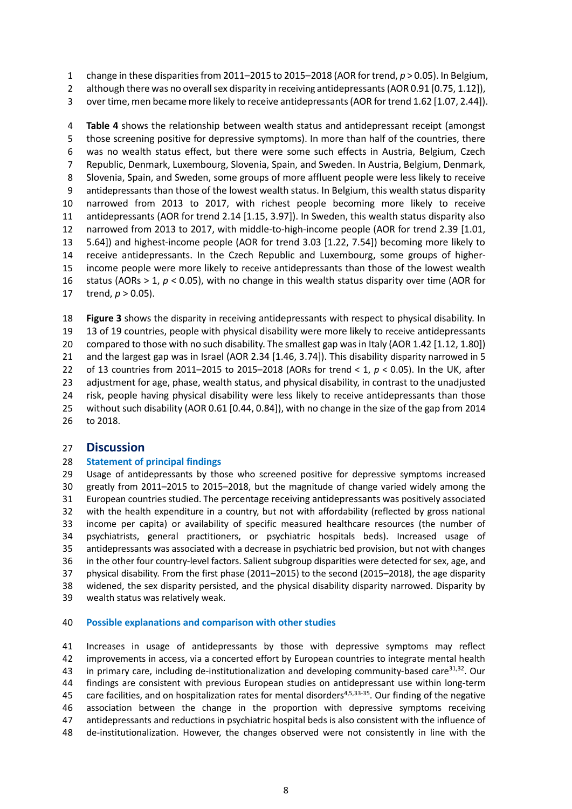change in these disparities from 2011–2015 to 2015–2018 (AOR for trend, *p* > 0.05). In Belgium,

2 although there was no overall sex disparity in receiving antidepressants (AOR 0.91 [0.75, 1.12]),

over time, men became more likely to receive antidepressants (AOR for trend 1.62 [1.07, 2.44]).

 **Table 4** shows the relationship between wealth status and antidepressant receipt (amongst those screening positive for depressive symptoms). In more than half of the countries, there was no wealth status effect, but there were some such effects in Austria, Belgium, Czech Republic, Denmark, Luxembourg, Slovenia, Spain, and Sweden. In Austria, Belgium, Denmark, Slovenia, Spain, and Sweden, some groups of more affluent people were less likely to receive antidepressants than those of the lowest wealth status. In Belgium, this wealth status disparity narrowed from 2013 to 2017, with richest people becoming more likely to receive antidepressants (AOR for trend 2.14 [1.15, 3.97]). In Sweden, this wealth status disparity also narrowed from 2013 to 2017, with middle-to-high-income people (AOR for trend 2.39 [1.01, 5.64]) and highest-income people (AOR for trend 3.03 [1.22, 7.54]) becoming more likely to receive antidepressants. In the Czech Republic and Luxembourg, some groups of higher- income people were more likely to receive antidepressants than those of the lowest wealth status (AORs > 1, *p* < 0.05), with no change in this wealth status disparity over time (AOR for trend, *p* > 0.05).

 **Figure 3** shows the disparity in receiving antidepressants with respect to physical disability. In 13 of 19 countries, people with physical disability were more likely to receive antidepressants compared to those with no such disability. The smallest gap was in Italy (AOR 1.42 [1.12, 1.80]) and the largest gap was in Israel (AOR 2.34 [1.46, 3.74]). This disability disparity narrowed in 5 of 13 countries from 2011–2015 to 2015–2018 (AORs for trend < 1, *p* < 0.05). In the UK, after adjustment for age, phase, wealth status, and physical disability, in contrast to the unadjusted risk, people having physical disability were less likely to receive antidepressants than those without such disability (AOR 0.61 [0.44, 0.84]), with no change in the size of the gap from 2014 to 2018.

# **Discussion**

### **Statement of principal findings**

 Usage of antidepressants by those who screened positive for depressive symptoms increased greatly from 2011–2015 to 2015–2018, but the magnitude of change varied widely among the European countries studied. The percentage receiving antidepressants was positively associated with the health expenditure in a country, but not with affordability (reflected by gross national income per capita) or availability of specific measured healthcare resources (the number of psychiatrists, general practitioners, or psychiatric hospitals beds). Increased usage of antidepressants was associated with a decrease in psychiatric bed provision, but not with changes in the other four country-level factors. Salient subgroup disparities were detected for sex, age, and physical disability. From the first phase (2011–2015) to the second (2015–2018), the age disparity widened, the sex disparity persisted, and the physical disability disparity narrowed. Disparity by wealth status was relatively weak.

#### **Possible explanations and comparison with other studies**

 Increases in usage of antidepressants by those with depressive symptoms may reflect improvements in access, via a concerted effort by European countries to integrate mental health 43 in primary care, including de-institutionalization and developing community-based care  $31,32$ . Our findings are consistent with previous European studies on antidepressant use within long-term 45 care facilities, and on hospitalization rates for mental disorders<sup>4,5,33-35</sup>. Our finding of the negative association between the change in the proportion with depressive symptoms receiving antidepressants and reductions in psychiatric hospital beds is also consistent with the influence of de-institutionalization. However, the changes observed were not consistently in line with the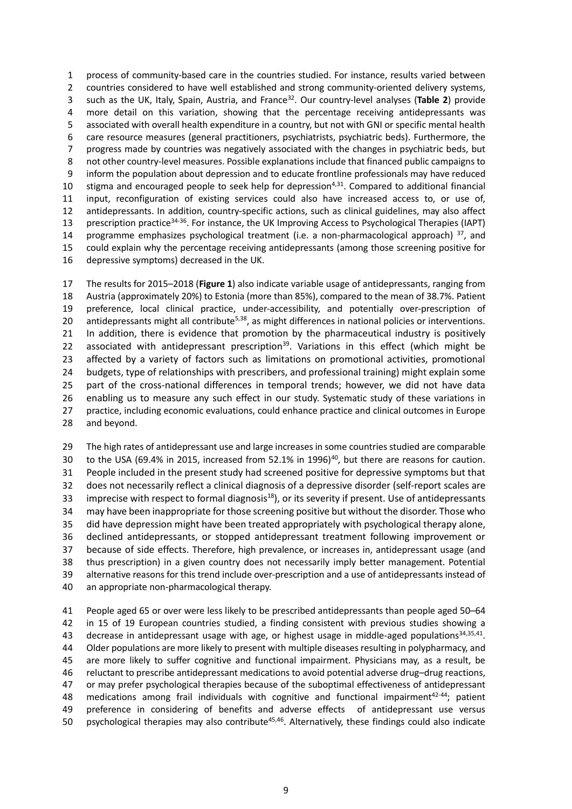process of community-based care in the countries studied. For instance, results varied between 2 countries considered to have well established and strong community-oriented delivery systems, such as the UK, Italy, Spain, Austria, and France<sup>32</sup> . Our country-level analyses (**Table 2**) provide more detail on this variation, showing that the percentage receiving antidepressants was associated with overall health expenditure in a country, but not with GNI or specific mental health care resource measures (general practitioners, psychiatrists, psychiatric beds). Furthermore, the progress made by countries was negatively associated with the changes in psychiatric beds, but not other country-level measures. Possible explanations include that financed public campaigns to inform the population about depression and to educate frontline professionals may have reduced 10 stigma and encouraged people to seek help for depression<sup>4,31</sup>. Compared to additional financial input, reconfiguration of existing services could also have increased access to, or use of, antidepressants. In addition, country-specific actions, such as clinical guidelines, may also affect 13 prescription practice<sup>34-36</sup>. For instance, the UK Improving Access to Psychological Therapies (IAPT) 14 programme emphasizes psychological treatment (i.e. a non-pharmacological approach) , and could explain why the percentage receiving antidepressants (among those screening positive for depressive symptoms) decreased in the UK.

 The results for 2015–2018 (**Figure 1**) also indicate variable usage of antidepressants, ranging from Austria (approximately 20%) to Estonia (more than 85%), compared to the mean of 38.7%. Patient preference, local clinical practice, under-accessibility, and potentially over-prescription of 20 antidepressants might all contribute<sup>5,38</sup>, as might differences in national policies or interventions. In addition, there is evidence that promotion by the pharmaceutical industry is positively 22 associated with antidepressant prescription<sup>39</sup>. Variations in this effect (which might be affected by a variety of factors such as limitations on promotional activities, promotional budgets, type of relationships with prescribers, and professional training) might explain some part of the cross-national differences in temporal trends; however, we did not have data enabling us to measure any such effect in our study. Systematic study of these variations in practice, including economic evaluations, could enhance practice and clinical outcomes in Europe and beyond.

 The high rates of antidepressant use and large increases in some countries studied are comparable 30 to the USA (69.4% in 2015, increased from 52.1% in 1996)<sup>40</sup>, but there are reasons for caution. People included in the present study had screened positive for depressive symptoms but that does not necessarily reflect a clinical diagnosis of a depressive disorder (self-report scales are 33 imprecise with respect to formal diagnosis<sup>18</sup>), or its severity if present. Use of antidepressants may have been inappropriate for those screening positive but without the disorder. Those who did have depression might have been treated appropriately with psychological therapy alone, declined antidepressants, or stopped antidepressant treatment following improvement or because of side effects. Therefore, high prevalence, or increases in, antidepressant usage (and thus prescription) in a given country does not necessarily imply better management. Potential alternative reasons for this trend include over-prescription and a use of antidepressants instead of an appropriate non-pharmacological therapy.

 People aged 65 or over were less likely to be prescribed antidepressants than people aged 50–64 in 15 of 19 European countries studied, a finding consistent with previous studies showing a 43 decrease in antidepressant usage with age, or highest usage in middle-aged populations<sup>34,35,41</sup>. Older populations are more likely to present with multiple diseases resulting in polypharmacy, and are more likely to suffer cognitive and functional impairment. Physicians may, as a result, be reluctant to prescribe antidepressant medications to avoid potential adverse drug–drug reactions, or may prefer psychological therapies because of the suboptimal effectiveness of antidepressant 48 medications among frail individuals with cognitive and functional impairment<sup>42-44</sup>; patient preference in considering of benefits and adverse effects of antidepressant use versus 50 psychological therapies may also contribute<sup>45,46</sup>. Alternatively, these findings could also indicate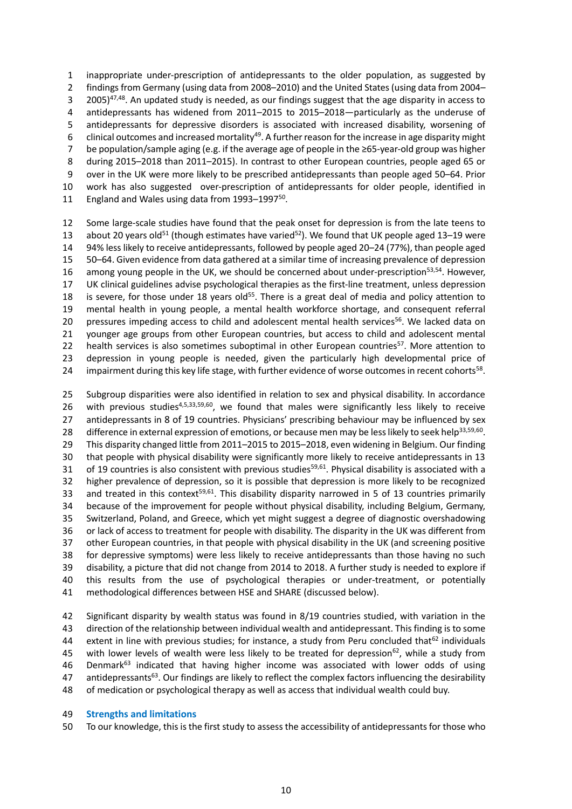inappropriate under-prescription of antidepressants to the older population, as suggested by findings from Germany (using data from 2008–2010) and the United States (using data from 2004– <sup>47,48</sup>. An updated study is needed, as our findings suggest that the age disparity in access to antidepressants has widened from 2011–2015 to 2015–2018—particularly as the underuse of antidepressants for depressive disorders is associated with increased disability, worsening of 6 clinical outcomes and increased mortality<sup>49</sup>. A further reason for the increase in age disparity might be population/sample aging (e.g. if the average age of people in the ≥65-year-old group was higher during 2015–2018 than 2011–2015). In contrast to other European countries, people aged 65 or over in the UK were more likely to be prescribed antidepressants than people aged 50–64. Prior work has also suggested over-prescription of antidepressants for older people, identified in 11 England and Wales using data from 1993-1997<sup>50</sup>.

 Some large-scale studies have found that the peak onset for depression is from the late teens to 13 about 20 years old<sup>51</sup> (though estimates have varied<sup>52</sup>). We found that UK people aged 13–19 were 94% less likely to receive antidepressants, followed by people aged 20–24 (77%), than people aged 50–64. Given evidence from data gathered at a similar time of increasing prevalence of depression 16 among young people in the UK, we should be concerned about under-prescription<sup>53,54</sup>. However, UK clinical guidelines advise psychological therapies as the first-line treatment, unless depression 18 is severe, for those under 18 years old<sup>55</sup>. There is a great deal of media and policy attention to mental health in young people, a mental health workforce shortage, and consequent referral 20 pressures impeding access to child and adolescent mental health services<sup>56</sup>. We lacked data on younger age groups from other European countries, but access to child and adolescent mental 22 health services is also sometimes suboptimal in other European countries<sup>57</sup>. More attention to depression in young people is needed, given the particularly high developmental price of 24 impairment during this key life stage, with further evidence of worse outcomes in recent cohorts<sup>58</sup>.

 Subgroup disparities were also identified in relation to sex and physical disability. In accordance 26 with previous studies<sup>4,5,33,59,60</sup>, we found that males were significantly less likely to receive 27 antidepressants in 8 of 19 countries. Physicians' prescribing behaviour may be influenced by sex 28 difference in external expression of emotions, or because men may be less likely to seek help<sup>33,59,60</sup>. This disparity changed little from 2011–2015 to 2015–2018, even widening in Belgium. Our finding that people with physical disability were significantly more likely to receive antidepressants in 13 31 of 19 countries is also consistent with previous studies<sup>59,61</sup>. Physical disability is associated with a higher prevalence of depression, so it is possible that depression is more likely to be recognized 33 and treated in this context<sup>59,61</sup>. This disability disparity narrowed in 5 of 13 countries primarily because of the improvement for people without physical disability, including Belgium, Germany, Switzerland, Poland, and Greece, which yet might suggest a degree of diagnostic overshadowing or lack of access to treatment for people with disability. The disparity in the UK was different from other European countries, in that people with physical disability in the UK (and screening positive for depressive symptoms) were less likely to receive antidepressants than those having no such disability, a picture that did not change from 2014 to 2018. A further study is needed to explore if this results from the use of psychological therapies or under-treatment, or potentially methodological differences between HSE and SHARE (discussed below).

 Significant disparity by wealth status was found in 8/19 countries studied, with variation in the direction of the relationship between individual wealth and antidepressant. This finding is to some extent in line with previous studies; for instance, a study from Peru concluded that<sup>62</sup> individuals 45 with lower levels of wealth were less likely to be treated for depression<sup>62</sup>, while a study from 46 Denmark<sup>63</sup> indicated that having higher income was associated with lower odds of using 47 antidepressants<sup>63</sup>. Our findings are likely to reflect the complex factors influencing the desirability of medication or psychological therapy as well as access that individual wealth could buy.

#### **Strengths and limitations**

To our knowledge, this is the first study to assess the accessibility of antidepressants for those who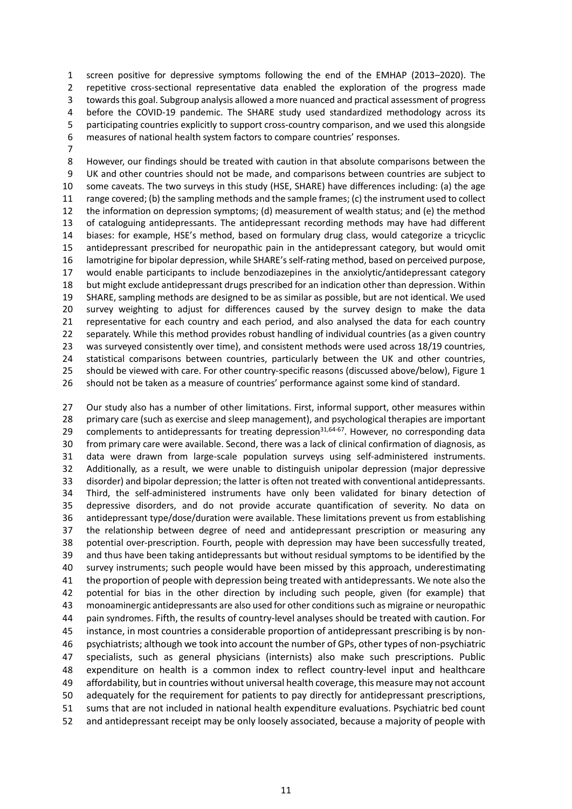screen positive for depressive symptoms following the end of the EMHAP (2013–2020). The repetitive cross-sectional representative data enabled the exploration of the progress made towards this goal. Subgroup analysis allowed a more nuanced and practical assessment of progress before the COVID-19 pandemic. The SHARE study used standardized methodology across its participating countries explicitly to support cross-country comparison, and we used this alongside measures of national health system factors to compare countries' responses.

 However, our findings should be treated with caution in that absolute comparisons between the UK and other countries should not be made, and comparisons between countries are subject to some caveats. The two surveys in this study (HSE, SHARE) have differences including: (a) the age range covered; (b) the sampling methods and the sample frames; (c) the instrument used to collect the information on depression symptoms; (d) measurement of wealth status; and (e) the method of cataloguing antidepressants. The antidepressant recording methods may have had different biases: for example, HSE's method, based on formulary drug class, would categorize a tricyclic antidepressant prescribed for neuropathic pain in the antidepressant category, but would omit lamotrigine for bipolar depression, while SHARE's self-rating method, based on perceived purpose, would enable participants to include benzodiazepines in the anxiolytic/antidepressant category but might exclude antidepressant drugs prescribed for an indication other than depression. Within SHARE, sampling methods are designed to be as similar as possible, but are not identical. We used survey weighting to adjust for differences caused by the survey design to make the data representative for each country and each period, and also analysed the data for each country separately. While this method provides robust handling of individual countries (as a given country was surveyed consistently over time), and consistent methods were used across 18/19 countries, statistical comparisons between countries, particularly between the UK and other countries, should be viewed with care. For other country-specific reasons (discussed above/below), Figure 1 should not be taken as a measure of countries' performance against some kind of standard.

 Our study also has a number of other limitations. First, informal support, other measures within primary care (such as exercise and sleep management), and psychological therapies are important 29 complements to antidepressants for treating depression<sup>31,64-67</sup>. However, no corresponding data from primary care were available. Second, there was a lack of clinical confirmation of diagnosis, as data were drawn from large-scale population surveys using self-administered instruments. Additionally, as a result, we were unable to distinguish unipolar depression (major depressive disorder) and bipolar depression; the latter is often not treated with conventional antidepressants. Third, the self-administered instruments have only been validated for binary detection of depressive disorders, and do not provide accurate quantification of severity. No data on antidepressant type/dose/duration were available. These limitations prevent us from establishing the relationship between degree of need and antidepressant prescription or measuring any potential over-prescription. Fourth, people with depression may have been successfully treated, and thus have been taking antidepressants but without residual symptoms to be identified by the survey instruments; such people would have been missed by this approach, underestimating the proportion of people with depression being treated with antidepressants. We note also the potential for bias in the other direction by including such people, given (for example) that monoaminergic antidepressants are also used for other conditions such as migraine or neuropathic pain syndromes. Fifth, the results of country-level analyses should be treated with caution. For instance, in most countries a considerable proportion of antidepressant prescribing is by non- psychiatrists; although we took into account the number of GPs, other types of non-psychiatric specialists, such as general physicians (internists) also make such prescriptions. Public expenditure on health is a common index to reflect country-level input and healthcare affordability, but in countries without universal health coverage, this measure may not account adequately for the requirement for patients to pay directly for antidepressant prescriptions, sums that are not included in national health expenditure evaluations. Psychiatric bed count and antidepressant receipt may be only loosely associated, because a majority of people with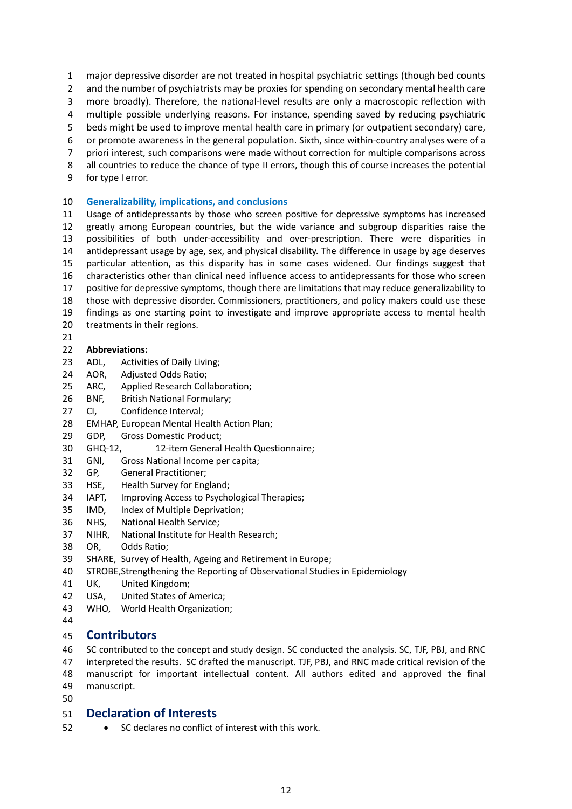major depressive disorder are not treated in hospital psychiatric settings (though bed counts

2 and the number of psychiatrists may be proxies for spending on secondary mental health care

more broadly). Therefore, the national-level results are only a macroscopic reflection with

multiple possible underlying reasons. For instance, spending saved by reducing psychiatric

beds might be used to improve mental health care in primary (or outpatient secondary) care,

or promote awareness in the general population. Sixth, since within-country analyses were of a

- priori interest, such comparisons were made without correction for multiple comparisons across
- all countries to reduce the chance of type II errors, though this of course increases the potential for type I error.

# **Generalizability, implications, and conclusions**

 Usage of antidepressants by those who screen positive for depressive symptoms has increased greatly among European countries, but the wide variance and subgroup disparities raise the possibilities of both under-accessibility and over-prescription. There were disparities in antidepressant usage by age, sex, and physical disability. The difference in usage by age deserves particular attention, as this disparity has in some cases widened. Our findings suggest that characteristics other than clinical need influence access to antidepressants for those who screen positive for depressive symptoms, though there are limitations that may reduce generalizability to those with depressive disorder. Commissioners, practitioners, and policy makers could use these findings as one starting point to investigate and improve appropriate access to mental health treatments in their regions. 

# **Abbreviations:**

- ADL, Activities of Daily Living;
- AOR, Adjusted Odds Ratio;
- ARC, Applied Research Collaboration;
- BNF, British National Formulary;
- CI, Confidence Interval;
- EMHAP, European Mental Health Action Plan;
- GDP, Gross Domestic Product;
- GHQ-12, 12-item General Health Questionnaire;
- GNI, Gross National Income per capita;
- GP, General Practitioner;
- HSE, Health Survey for England;
- IAPT, Improving Access to Psychological Therapies;
- IMD, Index of Multiple Deprivation;
- NHS, National Health Service;
- NIHR, National Institute for Health Research;
- OR, Odds Ratio;
- SHARE, Survey of Health, Ageing and Retirement in Europe;
- STROBE,Strengthening the Reporting of Observational Studies in Epidemiology
- UK, United Kingdom;
- USA, United States of America;
- WHO, World Health Organization;
- 

# **Contributors**

SC contributed to the concept and study design. SC conducted the analysis. SC, TJF, PBJ, and RNC

 interpreted the results. SC drafted the manuscript. TJF, PBJ, and RNC made critical revision of the manuscript for important intellectual content. All authors edited and approved the final manuscript.

# **Declaration of Interests**

SC declares no conflict of interest with this work.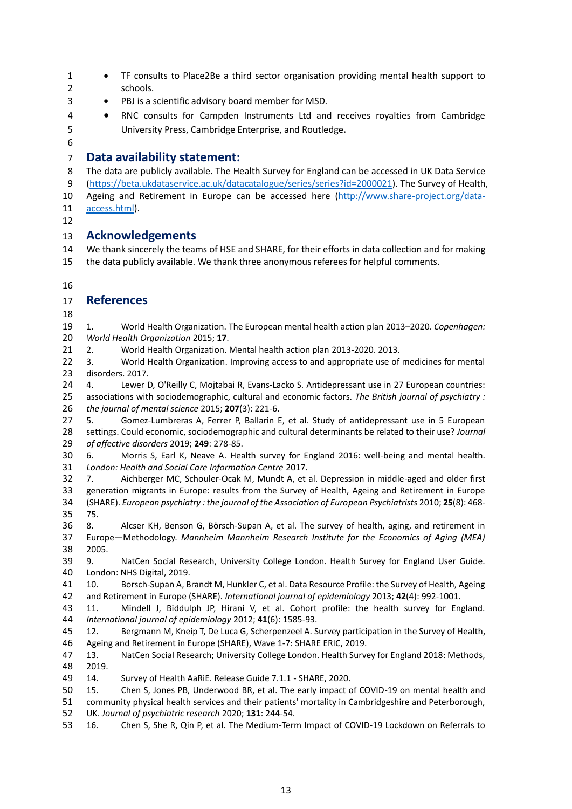- 1 TF consults to Place2Be a third sector organisation providing mental health support to schools.
- PBJ is a scientific advisory board member for MSD.
- RNC consults for Campden Instruments Ltd and receives royalties from Cambridge University Press, Cambridge Enterprise, and Routledge.
- 

# **Data availability statement:**

 The data are publicly available. The Health Survey for England can be accessed in UK Data Service [\(https://beta.ukdataservice.ac.uk/datacatalogue/series/series?id=2000021\)](https://beta.ukdataservice.ac.uk/datacatalogue/series/series?id=2000021). The Survey of Health, Ageing and Retirement in Europe can be accessed here [\(http://www.share-project.org/data-](http://www.share-project.org/data-access.html)[access.html\)](http://www.share-project.org/data-access.html).

# **Acknowledgements**

 We thank sincerely the teams of HSE and SHARE, for their efforts in data collection and for making the data publicly available. We thank three anonymous referees for helpful comments.

# **References**

 1. World Health Organization. The European mental health action plan 2013–2020. *Copenhagen: World Health Organization* 2015; **17**.

2. World Health Organization. Mental health action plan 2013-2020. 2013.

22 3. World Health Organization. Improving access to and appropriate use of medicines for mental disorders. 2017.

 4. Lewer D, O'Reilly C, Mojtabai R, Evans-Lacko S. Antidepressant use in 27 European countries: associations with sociodemographic, cultural and economic factors. *The British journal of psychiatry : the journal of mental science* 2015; **207**(3): 221-6.

 5. Gomez-Lumbreras A, Ferrer P, Ballarin E, et al. Study of antidepressant use in 5 European settings. Could economic, sociodemographic and cultural determinants be related to their use? *Journal of affective disorders* 2019; **249**: 278-85.

 6. Morris S, Earl K, Neave A. Health survey for England 2016: well-being and mental health. *London: Health and Social Care Information Centre* 2017.

 7. Aichberger MC, Schouler-Ocak M, Mundt A, et al. Depression in middle-aged and older first generation migrants in Europe: results from the Survey of Health, Ageing and Retirement in Europe (SHARE). *European psychiatry : the journal of the Association of European Psychiatrists* 2010; **25**(8): 468- 75.

 8. Alcser KH, Benson G, Börsch-Supan A, et al. The survey of health, aging, and retirement in Europe—Methodology. *Mannheim Mannheim Research Institute for the Economics of Aging (MEA)* 2005.

 9. NatCen Social Research, University College London. Health Survey for England User Guide. London: NHS Digital, 2019.

 10. Borsch-Supan A, Brandt M, Hunkler C, et al. Data Resource Profile: the Survey of Health, Ageing and Retirement in Europe (SHARE). *International journal of epidemiology* 2013; **42**(4): 992-1001.

 11. Mindell J, Biddulph JP, Hirani V, et al. Cohort profile: the health survey for England. *International journal of epidemiology* 2012; **41**(6): 1585-93.

 12. Bergmann M, Kneip T, De Luca G, Scherpenzeel A. Survey participation in the Survey of Health, Ageing and Retirement in Europe (SHARE), Wave 1-7: SHARE ERIC, 2019.

 13. NatCen Social Research; University College London. Health Survey for England 2018: Methods, 2019.

14. Survey of Health AaRiE. Release Guide 7.1.1 - SHARE, 2020.

15. Chen S, Jones PB, Underwood BR, et al. The early impact of COVID-19 on mental health and

 community physical health services and their patients' mortality in Cambridgeshire and Peterborough, UK. *Journal of psychiatric research* 2020; **131**: 244-54.

16. Chen S, She R, Qin P, et al. The Medium-Term Impact of COVID-19 Lockdown on Referrals to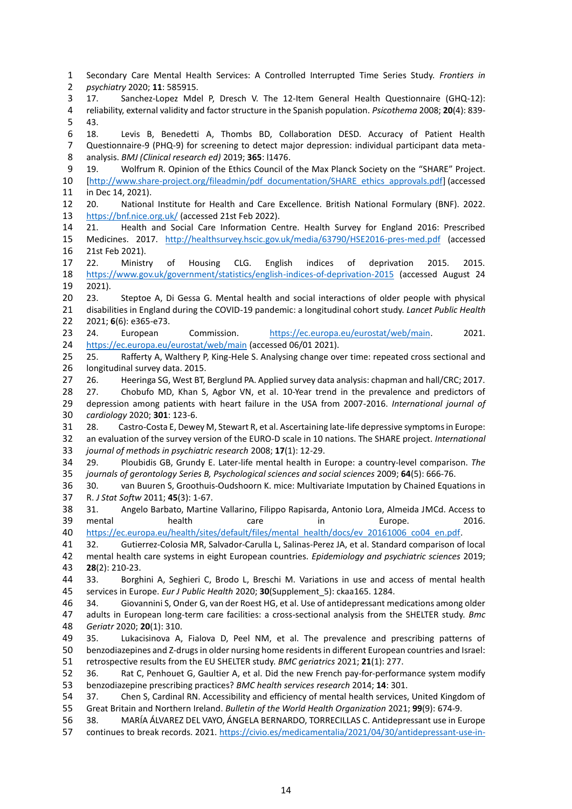Secondary Care Mental Health Services: A Controlled Interrupted Time Series Study. *Frontiers in psychiatry* 2020; **11**: 585915. 17. Sanchez-Lopez Mdel P, Dresch V. The 12-Item General Health Questionnaire (GHQ-12): reliability, external validity and factor structure in the Spanish population. *Psicothema* 2008; **20**(4): 839- 43. 18. Levis B, Benedetti A, Thombs BD, Collaboration DESD. Accuracy of Patient Health Questionnaire-9 (PHQ-9) for screening to detect major depression: individual participant data meta- analysis. *BMJ (Clinical research ed)* 2019; **365**: l1476. 19. Wolfrum R. Opinion of the Ethics Council of the Max Planck Society on the "SHARE" Project. [\[http://www.share-project.org/fileadmin/pdf\\_documentation/SHARE\\_ethics\\_approvals.pdf\]](http://www.share-project.org/fileadmin/pdf_documentation/SHARE_ethics_approvals.pdf) (accessed in Dec 14, 2021). 20. National Institute for Health and Care Excellence. British National Formulary (BNF). 2022. <https://bnf.nice.org.uk/> (accessed 21st Feb 2022). 21. Health and Social Care Information Centre. Health Survey for England 2016: Prescribed Medicines. 2017. <http://healthsurvey.hscic.gov.uk/media/63790/HSE2016-pres-med.pdf> (accessed 21st Feb 2021). 22. Ministry of Housing CLG. English indices of deprivation 2015. 2015. <https://www.gov.uk/government/statistics/english-indices-of-deprivation-2015> (accessed August 24 2021). 23. Steptoe A, Di Gessa G. Mental health and social interactions of older people with physical disabilities in England during the COVID-19 pandemic: a longitudinal cohort study. *Lancet Public Health* 2021; **6**(6): e365-e73. 24. European Commission. [https://ec.europa.eu/eurostat/web/main.](https://ec.europa.eu/eurostat/web/main) 2021. <https://ec.europa.eu/eurostat/web/main> (accessed 06/01 2021). 25. Rafferty A, Walthery P, King-Hele S. Analysing change over time: repeated cross sectional and longitudinal survey data. 2015. 26. Heeringa SG, West BT, Berglund PA. Applied survey data analysis: chapman and hall/CRC; 2017. 28 27. Chobufo MD, Khan S, Agbor VN, et al. 10-Year trend in the prevalence and predictors of depression among patients with heart failure in the USA from 2007-2016. *International journal of cardiology* 2020; **301**: 123-6. 28. Castro-Costa E, Dewey M, Stewart R, et al. Ascertaining late-life depressive symptoms in Europe: an evaluation of the survey version of the EURO-D scale in 10 nations. The SHARE project. *International journal of methods in psychiatric research* 2008; **17**(1): 12-29. 29. Ploubidis GB, Grundy E. Later-life mental health in Europe: a country-level comparison. *The journals of gerontology Series B, Psychological sciences and social sciences* 2009; **64**(5): 666-76. 30. van Buuren S, Groothuis-Oudshoorn K. mice: Multivariate Imputation by Chained Equations in R. *J Stat Softw* 2011; **45**(3): 1-67. 31. Angelo Barbato, Martine Vallarino, Filippo Rapisarda, Antonio Lora, Almeida JMCd. Access to mental health care in Europe. 2016. [https://ec.europa.eu/health/sites/default/files/mental\\_health/docs/ev\\_20161006\\_co04\\_en.pdf.](https://ec.europa.eu/health/sites/default/files/mental_health/docs/ev_20161006_co04_en.pdf) 32. Gutierrez-Colosia MR, Salvador-Carulla L, Salinas-Perez JA, et al. Standard comparison of local mental health care systems in eight European countries. *Epidemiology and psychiatric sciences* 2019; **28**(2): 210-23. 33. Borghini A, Seghieri C, Brodo L, Breschi M. Variations in use and access of mental health services in Europe. *Eur J Public Health* 2020; **30**(Supplement\_5): ckaa165. 1284. 34. Giovannini S, Onder G, van der Roest HG, et al. Use of antidepressant medications among older adults in European long-term care facilities: a cross-sectional analysis from the SHELTER study. *Bmc Geriatr* 2020; **20**(1): 310. 35. Lukacisinova A, Fialova D, Peel NM, et al. The prevalence and prescribing patterns of benzodiazepines and Z-drugs in older nursing home residents in different European countries and Israel: retrospective results from the EU SHELTER study. *BMC geriatrics* 2021; **21**(1): 277. 36. Rat C, Penhouet G, Gaultier A, et al. Did the new French pay-for-performance system modify benzodiazepine prescribing practices? *BMC health services research* 2014; **14**: 301. 37. Chen S, Cardinal RN. Accessibility and efficiency of mental health services, United Kingdom of Great Britain and Northern Ireland. *Bulletin of the World Health Organization* 2021; **99**(9): 674-9. 38. MARÍA ÁLVAREZ DEL VAYO, ÁNGELA BERNARDO, TORRECILLAS C. Antidepressant use in Europe

continues to break records. 2021. [https://civio.es/medicamentalia/2021/04/30/antidepressant-use-in-](https://civio.es/medicamentalia/2021/04/30/antidepressant-use-in-europe-continues-to-break-records/)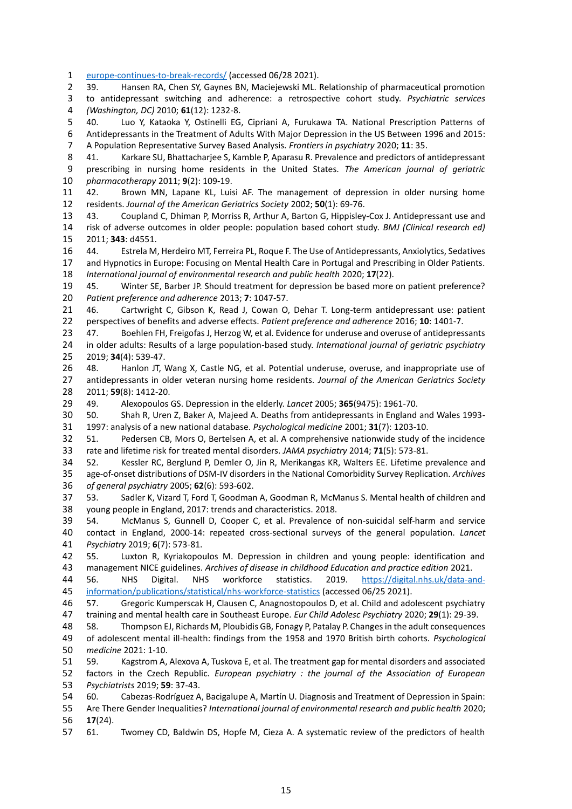[europe-continues-to-break-records/](https://civio.es/medicamentalia/2021/04/30/antidepressant-use-in-europe-continues-to-break-records/) (accessed 06/28 2021).

 39. Hansen RA, Chen SY, Gaynes BN, Maciejewski ML. Relationship of pharmaceutical promotion to antidepressant switching and adherence: a retrospective cohort study. *Psychiatric services (Washington, DC)* 2010; **61**(12): 1232-8.

 40. Luo Y, Kataoka Y, Ostinelli EG, Cipriani A, Furukawa TA. National Prescription Patterns of Antidepressants in the Treatment of Adults With Major Depression in the US Between 1996 and 2015: A Population Representative Survey Based Analysis. *Frontiers in psychiatry* 2020; **11**: 35.

 41. Karkare SU, Bhattacharjee S, Kamble P, Aparasu R. Prevalence and predictors of antidepressant prescribing in nursing home residents in the United States. *The American journal of geriatric pharmacotherapy* 2011; **9**(2): 109-19.

 42. Brown MN, Lapane KL, Luisi AF. The management of depression in older nursing home residents. *Journal of the American Geriatrics Society* 2002; **50**(1): 69-76.

 43. Coupland C, Dhiman P, Morriss R, Arthur A, Barton G, Hippisley-Cox J. Antidepressant use and risk of adverse outcomes in older people: population based cohort study. *BMJ (Clinical research ed)* 2011; **343**: d4551.

 44. Estrela M, Herdeiro MT, Ferreira PL, Roque F. The Use of Antidepressants, Anxiolytics, Sedatives and Hypnotics in Europe: Focusing on Mental Health Care in Portugal and Prescribing in Older Patients. *International journal of environmental research and public health* 2020; **17**(22).

 45. Winter SE, Barber JP. Should treatment for depression be based more on patient preference? *Patient preference and adherence* 2013; **7**: 1047-57.

 46. Cartwright C, Gibson K, Read J, Cowan O, Dehar T. Long-term antidepressant use: patient perspectives of benefits and adverse effects. *Patient preference and adherence* 2016; **10**: 1401-7.

 47. Boehlen FH, Freigofas J, Herzog W, et al. Evidence for underuse and overuse of antidepressants in older adults: Results of a large population-based study. *International journal of geriatric psychiatry* 2019; **34**(4): 539-47.

 48. Hanlon JT, Wang X, Castle NG, et al. Potential underuse, overuse, and inappropriate use of antidepressants in older veteran nursing home residents. *Journal of the American Geriatrics Society* 2011; **59**(8): 1412-20.

49. Alexopoulos GS. Depression in the elderly. *Lancet* 2005; **365**(9475): 1961-70.

 50. Shah R, Uren Z, Baker A, Majeed A. Deaths from antidepressants in England and Wales 1993- 1997: analysis of a new national database. *Psychological medicine* 2001; **31**(7): 1203-10.

 51. Pedersen CB, Mors O, Bertelsen A, et al. A comprehensive nationwide study of the incidence rate and lifetime risk for treated mental disorders. *JAMA psychiatry* 2014; **71**(5): 573-81.

 52. Kessler RC, Berglund P, Demler O, Jin R, Merikangas KR, Walters EE. Lifetime prevalence and age-of-onset distributions of DSM-IV disorders in the National Comorbidity Survey Replication. *Archives of general psychiatry* 2005; **62**(6): 593-602.

 53. Sadler K, Vizard T, Ford T, Goodman A, Goodman R, McManus S. Mental health of children and young people in England, 2017: trends and characteristics. 2018.

 54. McManus S, Gunnell D, Cooper C, et al. Prevalence of non-suicidal self-harm and service contact in England, 2000-14: repeated cross-sectional surveys of the general population. *Lancet Psychiatry* 2019; **6**(7): 573-81.

 55. Luxton R, Kyriakopoulos M. Depression in children and young people: identification and management NICE guidelines. *Archives of disease in childhood Education and practice edition* 2021.

 56. NHS Digital. NHS workforce statistics. 2019. [https://digital.nhs.uk/data-and](https://digital.nhs.uk/data-and-information/publications/statistical/nhs-workforce-statistics)[information/publications/statistical/nhs-workforce-statistics](https://digital.nhs.uk/data-and-information/publications/statistical/nhs-workforce-statistics) (accessed 06/25 2021).

 57. Gregoric Kumperscak H, Clausen C, Anagnostopoulos D, et al. Child and adolescent psychiatry training and mental health care in Southeast Europe. *Eur Child Adolesc Psychiatry* 2020; **29**(1): 29-39.

 58. Thompson EJ, Richards M, Ploubidis GB, Fonagy P, Patalay P. Changes in the adult consequences of adolescent mental ill-health: findings from the 1958 and 1970 British birth cohorts. *Psychological medicine* 2021: 1-10.

 59. Kagstrom A, Alexova A, Tuskova E, et al. The treatment gap for mental disorders and associated factors in the Czech Republic. *European psychiatry : the journal of the Association of European Psychiatrists* 2019; **59**: 37-43.

 60. Cabezas-Rodríguez A, Bacigalupe A, Martín U. Diagnosis and Treatment of Depression in Spain: Are There Gender Inequalities? *International journal of environmental research and public health* 2020; **17**(24).

61. Twomey CD, Baldwin DS, Hopfe M, Cieza A. A systematic review of the predictors of health